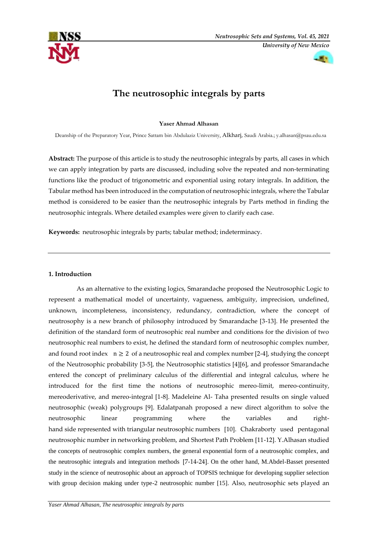



# **The neutrosophic integrals by parts**

# **Yaser Ahmad Alhasan**

Deanship of the Preparatory Year, Prince Sattam bin Abdulaziz University, Alkharj, Saudi Arabia.; [y.alhasan@psau.edu.sa](mailto:y.alhasan@psau.edu.sa)

**Abstract:** The purpose of this article is to study the neutrosophic integrals by parts, all cases in which we can apply integration by parts are discussed, including solve the repeated and non-terminating functions like the product of trigonometric and exponential using rotary integrals. In addition, the Tabular method has been introduced in the computation of neutrosophic integrals, where the Tabular method is considered to be easier than the neutrosophic integrals by Parts method in finding the neutrosophic integrals. Where detailed examples were given to clarify each case.

**Keywords:** neutrosophic integrals by parts; tabular method; indeterminacy.

# **1. Introduction**

 As an alternative to the existing logics, Smarandache proposed the Neutrosophic Logic to represent a mathematical model of uncertainty, vagueness, ambiguity, imprecision, undefined, unknown, incompleteness, inconsistency, redundancy, contradiction, where the concept of neutrosophy is a new branch of philosophy introduced by Smarandache [3-13]. He presented the definition of the standard form of neutrosophic real number and conditions for the division of two neutrosophic real numbers to exist, he defined the standard form of neutrosophic complex number, and found root index  $n \geq 2$  of a neutrosophic real and complex number [2-4], studying the concept of the Neutrosophic probability [3-5], the Neutrosophic statistics [4][6], and professor Smarandache entered the concept of preliminary calculus of the differential and integral calculus, where he introduced for the first time the notions of neutrosophic mereo-limit, mereo-continuity, mereoderivative, and mereo-integral [1-8]. Madeleine Al- Taha presented results on single valued neutrosophic (weak) polygroups [9]. Edalatpanah proposed a new direct algorithm to solve the neutrosophic linear programming where the variables and righthand side represented with triangular neutrosophic numbers [10]. Chakraborty used pentagonal neutrosophic number in networking problem, and Shortest Path Problem [11-12]. Y.Alhasan studied the concepts of neutrosophic complex numbers, the general exponential form of a neutrosophic complex, and the neutrosophic integrals and integration methods [7-14-24]. On the other hand, M.Abdel-Basset presented study in the science of neutrosophic about an approach of TOPSIS technique for developing supplier selection with group decision making under type-2 neutrosophic number [15]. Also, neutrosophic sets played an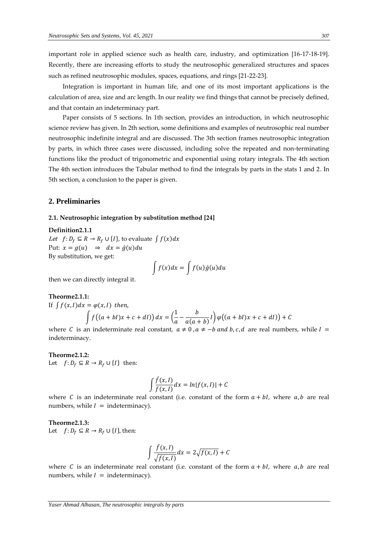important role in applied science such as health care, industry, and optimization [16-17-18-19]. Recently, there are increasing efforts to study the neutrosophic generalized structures and spaces such as refined neutrosophic modules, spaces, equations, and rings [21-22-23].

 Integration is important in human life, and one of its most important applications is the calculation of area, size and arc length. In our reality we find things that cannot be precisely defined, and that contain an indeterminacy part.

 Paper consists of 5 sections. In 1th section, provides an introduction, in which neutrosophic science review has given. In 2th section, some definitions and examples of neutrosophic real number neutrosophic indefinite integral and are discussed. The 3th section frames neutrosophic integration by parts, in which three cases were discussed, including solve the repeated and non-terminating functions like the product of trigonometric and exponential using rotary integrals. The 4th section The 4th section introduces the Tabular method to find the integrals by parts in the stats 1 and 2. In 5th section, a conclusion to the paper is given.

# **2. Preliminaries**

#### **2.1. Neutrosophic integration by substitution method [24]**

**Definition2.1.1**

*Let*  $f: D_f \subseteq R \rightarrow R_f \cup \{I\}$ , to evaluate  $\int f(x)dx$ Put:  $x = g(u) \Rightarrow dx = \dot{g}(u)du$ By substitution, we get:

$$
\int f(x)dx = \int f(u)\dot{g}(u)du
$$

then we can directly integral it.

# **Theorme2.1.1:**

If 
$$
\int f(x, l) dx = \varphi(x, l)
$$
 then,  

$$
\int f((a+bl)x + c + dl)) dx = \left(\frac{1}{a} - \frac{b}{a(a+b)}l\right) \varphi((a+bl)x + c + dl)) + C
$$

where C is an indeterminate real constant,  $a \ne 0$ ,  $a \ne -b$  and b, c, d are real numbers, while  $I =$ indeterminacy.

# **Theorme2.1.2:**  Let  $f: D_f \subseteq R \rightarrow R_f \cup \{I\}$  then:

$$
\int \frac{\dot{f}(x,l)}{f(x,l)} dx = \ln|f(x,l)| + C
$$

where C is an indeterminate real constant (i.e. constant of the form  $a + bl$ , where  $a, b$  are real numbers, while  $I =$  indeterminacy).

**Theorme2.1.3:**  Let  $f: D_f \subseteq R \rightarrow R_f \cup \{I\}$ , then:

$$
\int \frac{\hat{f}(x, I)}{\sqrt{f(x, I)}} dx = 2\sqrt{f(x, I)} + C
$$

where C is an indeterminate real constant (i.e. constant of the form  $a + bl$ , where  $a, b$  are real numbers, while  $I =$  indeterminacy).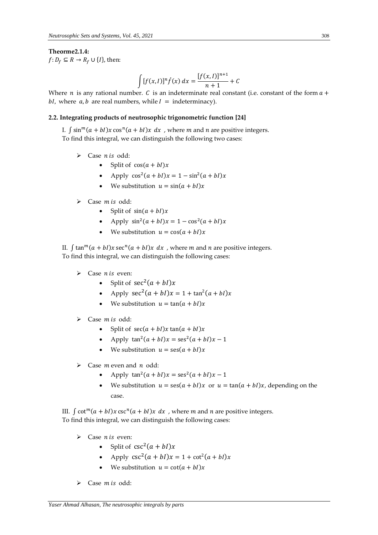#### **Theorme2.1.4:**

 $f: D_f \subseteq R \rightarrow R_f \cup \{I\}$ , then:

$$
\int [f(x, I)]^n f(x) dx = \frac{[f(x, I)]^{n+1}}{n+1} + C
$$

Where *n* is any rational number. *C* is an indeterminate real constant (i.e. constant of the form  $a +$ bI, where  $a, b$  are real numbers, while  $I =$  indeterminacy).

#### **2.2. Integrating products of neutrosophic trigonometric function [24]**

I.  $\int \sin^m(a + bI)x \cos^n(a + bI)x dx$ , where *m* and *n* are positive integers. To find this integral, we can distinguish the following two cases:

- $\triangleright$  Case *n* is odd:
	- Split of  $cos(a + bI)x$
	- Apply  $\cos^2(a + bI)x = 1 \sin^2(a + bI)x$
	- We substitution  $u = sin(a + bI)x$
- $\triangleright$  Case *m* is odd:
	- Split of  $sin(a + bI)x$
	- Apply  $\sin^2(a + bI)x = 1 \cos^2(a + bI)x$
	- We substitution  $u = \cos(a + bI)x$

II.  $\int \tan^{m}(a + bI)x \sec^{n}(a + bI)x dx$ , where *m* and *n* are positive integers. To find this integral, we can distinguish the following cases:

- $\triangleright$  Case *n* is even:
	- Split of  $sec^2(a + bI)x$
	- Apply  $\sec^2(a + bI)x = 1 + \tan^2(a + bI)x$
	- We substitution  $u = \tan(a + bI)x$
- $\triangleright$  Case *m* is odd:
	- Split of  $sec(a + bI)x tan(a + bI)x$
	- Apply  $\tan^2(a + bI)x = \sec^2(a + bI)x 1$
	- We substitution  $u = \text{ses}(a + bI)x$
- $\triangleright$  Case *m* even and *n* odd:
	- Apply  $\tan^2(a + bI)x = \sec^2(a + bI)x 1$
	- We substitution  $u = \text{ses}(a + bI)x$  or  $u = \text{tan}(a + bI)x$ , depending on the case.

III.  $\int \cot^{m}(a + bI)x \csc^{n}(a + bI)x dx$ , where *m* and *n* are positive integers. To find this integral, we can distinguish the following cases:

- $\triangleright$  Case *n* is even:
	- Split of  $csc^2(a + bl)x$
	- Apply  $\csc^2(a + bI)x = 1 + \cot^2(a + bI)x$
	- We substitution  $u = \cot(a + bI)x$
- $\triangleright$  Case *m* is odd: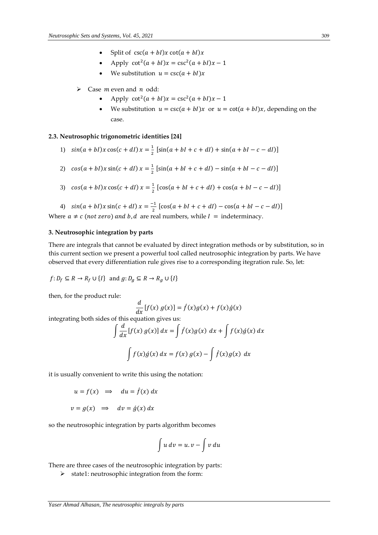- Split of  $\csc(a + bI)x \cot(a + bI)x$
- Apply  $\cot^2(a + bI)x = \csc^2(a + bI)x 1$
- We substitution  $u = \csc(a + bI)x$
- $\triangleright$  Case *m* even and *n* odd:
	- Apply  $\cot^2(a + bI)x = \csc^2(a + bI)x 1$
	- We substitution  $u = \csc(a + bI)x$  or  $u = \cot(a + bI)x$ , depending on the case.

## **2.3. Neutrosophic trigonometric identities [24]**

- 1)  $sin(a + bI)x cos(c + dI)x = \frac{1}{2}$  $\frac{1}{2}$  [sin(a + bI + c + dI) + sin(a + bI – c – dI)]
- 2)  $cos(a + bI)x sin(c + dI)x = \frac{1}{2}$  $\frac{1}{2}$  [sin(a + bI + c + dI) – sin(a + bI – c – dI)]
- 3)  $cos(a + bI)x cos(c + dI)x = \frac{1}{2}$  $\frac{1}{2}$  [cos(a + bI + c + dI) + cos(a + bI – c – dI)]

4)  $sin(a + bI)x sin(c + dl)x = \frac{-1}{2}$  $\frac{1}{2}$  [cos(a + bI + c + dI) – cos(a + bI – c – dI)] Where  $a \neq c$  (not zero) and b, d are real numbers, while  $I =$  indeterminacy.

#### **3. Neutrosophic integration by parts**

There are integrals that cannot be evaluated by direct integration methods or by substitution, so in this current section we present a powerful tool called neutrosophic integration by parts. We have observed that every differentiation rule gives rise to a corresponding itegration rule. So, let:

$$
f: D_f \subseteq R \to R_f \cup \{I\} \text{ and } g: D_g \subseteq R \to R_g \cup \{I\}
$$

then, for the product rule:

$$
\frac{d}{dx}[f(x) g(x)] = \hat{f}(x)g(x) + f(x)\hat{g}(x)
$$

integrating both sides of this equation gives us:

$$
\int \frac{d}{dx} [f(x) g(x)] dx = \int \hat{f}(x) g(x) dx + \int f(x) \hat{g}(x) dx
$$

$$
\int f(x) \hat{g}(x) dx = f(x) g(x) - \int \hat{f}(x) g(x) dx
$$

it is usually convenient to write this using the notation:

$$
u = f(x) \implies du = f(x) dx
$$

$$
v = g(x) \implies dv = \acute{g}(x) dx
$$

so the neutrosophic integration by parts algorithm becomes

$$
\int u\,dv = u.v - \int v\,du
$$

There are three cases of the neutrosophic integration by parts:

 $\triangleright$  state1: neutrosophic integration from the form: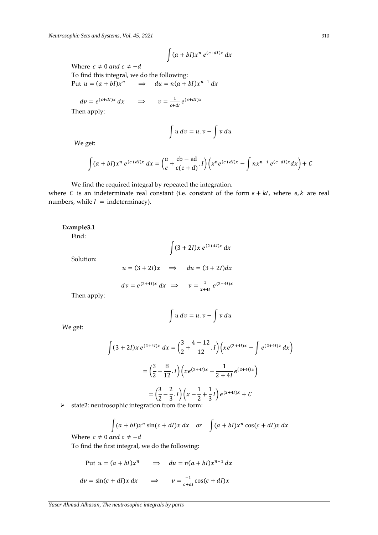$$
\int (a+bl)x^n\,e^{(c+dl)x}\,dx
$$

Where  $c \neq 0$  and  $c \neq -d$ To find this integral, we do the following: Put  $u = (a + bI)x^n$  $\int_{0}^{n} \Rightarrow du = n(a + bl)x^{n-1} dx$ 

 $dv = e^{(c+dl)x} dx \implies v = \frac{1}{ct}$  $\frac{1}{c+dl}e^{(c+dl)x}$ 

Then apply:

$$
\int u\,dv = u.v - \int v\,du
$$

We get:

$$
\int (a+bl)x^n e^{(c+dl)x} dx = \left(\frac{a}{c} + \frac{cb-ad}{c(c+d)}I\right) \left(x^n e^{(c+dl)x} - \int nx^{n-1} e^{(c+dl)x} dx\right) + C
$$

We find the required integral by repeated the integration.

where C is an indeterminate real constant (i.e. constant of the form  $e + kI$ , where  $e, k$  are real numbers, while  $I =$  indeterminacy).

# **Example3.1**

Find:

$$
\int (3+2I)x e^{(2+4I)x} dx
$$

Solution:

$$
u = (3 + 2I)x
$$
  $\implies$   $du = (3 + 2I)dx$   

$$
dv = e^{(2+4I)x} dx \implies v = \frac{1}{2+4I} e^{(2+4I)x}
$$

Then apply:

We get:

 $\int u dv = u \cdot v - \int v du$ 

$$
\int (3+2I)x \, e^{(2+4I)x} \, dx = \left(\frac{3}{2} + \frac{4-12}{12}I\right) \left(x e^{(2+4I)x} - \int e^{(2+4I)x} \, dx\right)
$$
\n
$$
= \left(\frac{3}{2} - \frac{8}{12}I\right) \left(x e^{(2+4I)x} - \frac{1}{2+4I} e^{(2+4I)x}\right)
$$
\n
$$
= \left(\frac{3}{2} - \frac{2}{3}I\right) \left(x - \frac{1}{2} + \frac{1}{3}I\right) e^{(2+4I)x} + C
$$
\ncosophic integration from the form:

 $\triangleright$  state2: neutrosophic integration from the form:

$$
\int (a+bl)x^n \sin(c+dl)x dx \quad or \quad \int (a+bl)x^n \cos(c+dl)x dx
$$

Where  $c \neq 0$  and  $c \neq -d$ 

To find the first integral, we do the following:

Put 
$$
u = (a + bl)x^n
$$
  $\implies du = n(a + bl)x^{n-1} dx$   
\n $dv = \sin(c + dl)x dx$   $\implies v = \frac{-1}{c + dl} \cos(c + dl)x$ 

*Yaser Ahmad Alhasan, The neutrosophic integrals by parts*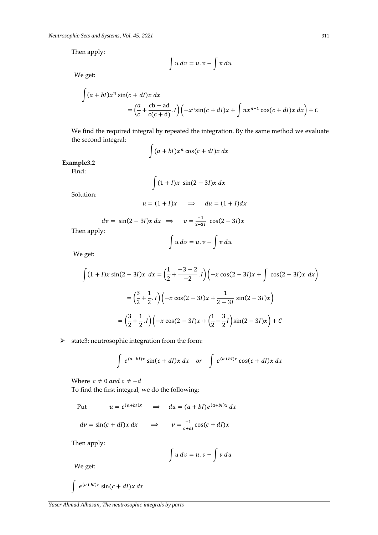Then apply:

$$
\int u\,dv = u.v - \int v\,du
$$

We get:

$$
\int (a + bl)x^n \sin(c + dl)x dx
$$
  
=  $\left(\frac{a}{c} + \frac{cb - ad}{c(c + d)} \cdot l\right) \left(-x^n \sin(c + dl)x + \int nx^{n-1} \cos(c + dl)x dx\right) + C$ 

We find the required integral by repeated the integration. By the same method we evaluate the second integral:

$$
\int (a+bl)x^n\cos(c+dl)x\,dx
$$

**Example3.2**

Find:

$$
\int (1+l)x \sin(2-3l)x dx
$$

Solution:

$$
u = (1 + I)x \quad \Rightarrow \quad du = (1 + I)dx
$$

$$
dv = \sin(2-3l)x \, dx \implies v =
$$

Then apply:

$$
\int u\,dv = u.v - \int v\,du
$$

−1

 $\frac{-1}{2-3l}$  cos(2 – 3*l*)x

We get:

$$
\int (1+I)x \sin(2-3I)x \, dx = \left(\frac{1}{2} + \frac{-3-2}{-2}I\right) \left(-x \cos(2-3I)x + \int \cos(2-3I)x \, dx\right)
$$

$$
= \left(\frac{3}{2} + \frac{1}{2}I\right) \left(-x \cos(2-3I)x + \frac{1}{2-3I} \sin(2-3I)x\right)
$$

$$
= \left(\frac{3}{2} + \frac{1}{2}I\right) \left(-x \cos(2-3I)x + \left(\frac{1}{2} - \frac{3}{2}I\right) \sin(2-3I)x\right) + C
$$

 $\triangleright$  state3: neutrosophic integration from the form:

$$
\int e^{(a+bl)x} \sin(c+dl)x dx \quad or \quad \int e^{(a+bl)x} \cos(c+dl)x dx
$$

Where  $c \neq 0$  and  $c \neq -d$ 

To find the first integral, we do the following:

Put 
$$
u = e^{(a+bl)x} \implies du = (a+bl)e^{(a+bl)x} dx
$$

$$
dv = \sin(c + dI)x \, dx \qquad \Rightarrow \qquad v = \frac{-1}{c + dI} \cos(c + dI)x
$$

Then apply:

$$
\int u\,dv = u.v - \int v\,du
$$

We get:

$$
\int e^{(a+bl)x} \sin(c+dl)x dx
$$

*Yaser Ahmad Alhasan, The neutrosophic integrals by parts*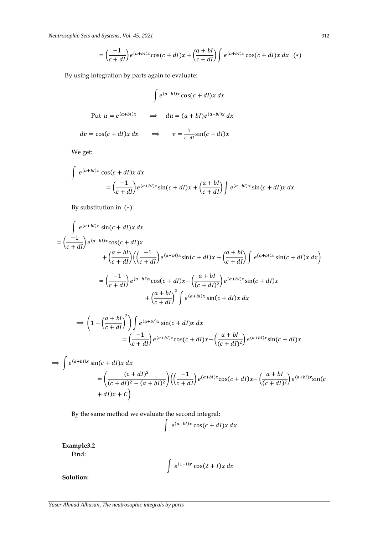$$
= \left(\frac{-1}{c+dI}\right) e^{(a+bl)x} \cos(c+dl)x + \left(\frac{a+bl}{c+dl}\right) \int e^{(a+bl)x} \cos(c+dl)x \, dx \quad (*)
$$

By using integration by parts again to evaluate:

$$
\int e^{(a+bl)x} \cos(c+dl)x \, dx
$$
\nPut  $u = e^{(a+bl)x}$   $\implies du = (a+bl)e^{(a+bl)x} \, dx$ 

\n $dv = \cos(c+dl)x \, dx \implies v = \frac{1}{c+dl} \sin(c+dl)x$ 

We get:

$$
\int e^{(a+bI)x} \cos(c+dl)x \, dx
$$
\n
$$
= \left(\frac{-1}{c+dl}\right) e^{(a+bI)x} \sin(c+dl)x + \left(\frac{a+bI}{c+dl}\right) \int e^{(a+bI)x} \sin(c+dl)x \, dx
$$

By substitution in (∗):

$$
\int e^{(a+bI)x} \sin(c+dl)x dx
$$
\n
$$
= \left(\frac{-1}{c+dl}\right) e^{(a+bI)x} \cos(c+dl)x
$$
\n
$$
+ \left(\frac{a+bI}{c+dl}\right) \left(\left(\frac{-1}{c+dl}\right) e^{(a+bI)x} \sin(c+dl)x + \left(\frac{a+bI}{c+dl}\right) \int e^{(a+bI)x} \sin(c+dl)x dx\right)
$$
\n
$$
= \left(\frac{-1}{c+dl}\right) e^{(a+bI)x} \cos(c+dl)x - \left(\frac{a+bI}{(c+dl)^2}\right) e^{(a+bI)x} \sin(c+dl)x
$$
\n
$$
+ \left(\frac{a+bI}{c+dl}\right)^2 \int e^{(a+bI)x} \sin(c+dl)x dx
$$
\n
$$
\Rightarrow \left(1 - \left(\frac{a+bI}{c+dl}\right)^2\right) \int e^{(a+bI)x} \sin(c+dl)x dx
$$
\n
$$
= \left(\frac{-1}{c+dl}\right) e^{(a+bI)x} \cos(c+dl)x - \left(\frac{a+bI}{(c+dl)^2}\right) e^{(a+bI)x} \sin(c+dl)x
$$

$$
\Rightarrow \int e^{(a+bI)x} \sin(c+dl)x \, dx
$$
  
=  $\left(\frac{(c+dl)^2}{(c+dl)^2 - (a+bl)^2}\right) \left(\left(\frac{-1}{c+dl}\right) e^{(a+bl)x} \cos(c+dl)x - \left(\frac{a+bl}{(c+dl)^2}\right) e^{(a+bl)x} \sin(c+dl)x + c\right)$ 

By the same method we evaluate the second integral:

$$
\int e^{(a+bl)x}\cos(c+dl)x\,dx
$$

**Example3.2**

Find:

$$
\int e^{(1+I)x} \cos(2+I)x \, dx
$$

∫

**Solution:**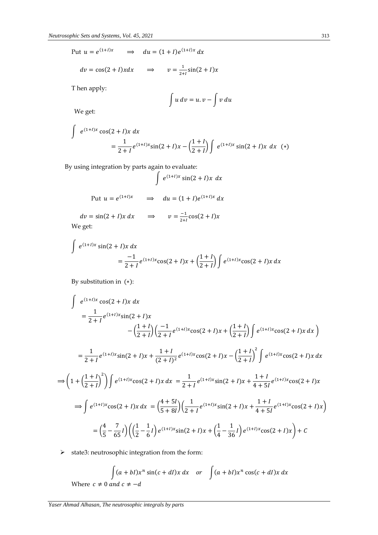Put  $u = e^{(1+1)x} \implies du = (1+1)e^{(1+1)x} dx$ 

$$
dv = \cos(2 + I)x dx \qquad \Rightarrow \qquad v = \frac{1}{2 + I}\sin(2 + I)x
$$

T hen apply:

$$
\int u\,dv = u.v - \int v\,du
$$

We get:

$$
\int e^{(1+l)x} \cos(2+l)x \, dx
$$
\n
$$
= \frac{1}{2+l} e^{(1+l)x} \sin(2+l)x - \left(\frac{1+l}{2+l}\right) \int e^{(1+l)x} \sin(2+l)x \, dx \quad (*)
$$

By using integration by parts again to evaluate:

$$
\int e^{(1+l)x} \sin(2+l)x \, dx
$$
\nPut  $u = e^{(1+l)x} \implies du = (1+l)e^{(1+l)x} dx$ 

$$
dv = \sin(2 + I)x \, dx \qquad \Rightarrow \qquad v = \frac{-1}{2 + I} \cos(2 + I)x
$$
  
We get:

We get:

$$
\int e^{(1+I)x} \sin(2+I)x \, dx
$$
  
=  $\frac{-1}{2+I} e^{(1+I)x} \cos(2+I)x + \left(\frac{1+I}{2+I}\right) \int e^{(1+I)x} \cos(2+I)x \, dx$ 

By substitution in (∗):

$$
\int e^{(1+l)x} \cos(2+l)x dx
$$
\n
$$
= \frac{1}{2+l} e^{(1+l)x} \sin(2+l)x
$$
\n
$$
- \left(\frac{1+l}{2+l}\right) \left(\frac{-1}{2+l} e^{(1+l)x} \cos(2+l)x + \left(\frac{1+l}{2+l}\right) \int e^{(1+l)x} \cos(2+l)x dx\right)
$$
\n
$$
= \frac{1}{2+l} e^{(1+l)x} \sin(2+l)x + \frac{1+l}{(2+l)^2} e^{(1+l)x} \cos(2+l)x - \left(\frac{1+l}{2+l}\right)^2 \int e^{(1+l)x} \cos(2+l)x dx
$$
\n
$$
\Rightarrow \left(1 + \left(\frac{1+l}{2+l}\right)^2\right) \int e^{(1+l)x} \cos(2+l)x dx = \frac{1}{2+l} e^{(1+l)x} \sin(2+l)x + \frac{1+l}{4+5l} e^{(1+l)x} \cos(2+l)x
$$
\n
$$
\Rightarrow \int e^{(1+l)x} \cos(2+l)x dx = \left(\frac{4+5l}{5+8l}\right) \left(\frac{1}{2+l} e^{(1+l)x} \sin(2+l)x + \frac{1+l}{4+5l} e^{(1+l)x} \cos(2+l)x\right)
$$
\n
$$
= \left(\frac{4}{5} - \frac{7}{65}l\right) \left(\left(\frac{1}{2} - \frac{1}{6}l\right) e^{(1+l)x} \sin(2+l)x + \left(\frac{1}{4} - \frac{1}{36}l\right) e^{(1+l)x} \cos(2+l)x\right) + C
$$

 $\triangleright$  state3: neutrosophic integration from the form:

$$
\int (a+bl)x^n \sin(c+dl)x dx \quad or \quad \int (a+bl)x^n \cos(c+dl)x dx
$$
  
: 0 and  $c \neq -d$ 

Where  $c \neq$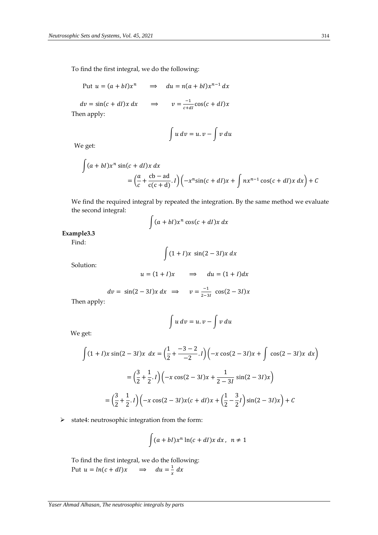To find the first integral, we do the following:

Put 
$$
u = (a + bI)x^n
$$
  $\implies du = n(a + bI)x^{n-1} dx$ 

 $dv = \sin(c + dI)x dx$   $\implies$   $v = \frac{-1}{c + dI}$  $\frac{-1}{c+dl}\cos(c+dl)x$ Then apply:

$$
\int u\,dv = u.v - \int v\,du
$$

We get:

 $\overline{c}$ 

$$
\int (a+bl)x^n \sin(c+dl)x dx
$$
  
=  $\left(\frac{a}{c} + \frac{cb-ad}{c(c+d)} \cdot l\right) \left(-x^n \sin(c+dl)x + \int nx^{n-1} \cos(c+dl)x dx\right) + C$ 

We find the required integral by repeated the integration. By the same method we evaluate the second integral:

$$
\int (a+bl)x^n\cos(c+dl)x\,dx
$$

# **Example3.3**

Find:

$$
\int (1+l)x \sin(2-3l)x dx
$$

Solution:

$$
u = (1 + I)x \qquad \Rightarrow \qquad du = (1 + I)dx
$$

$$
dv = \sin(2-3I)x \, dx \implies v = \frac{-1}{2-3I} \cos(2-3I)x
$$

Then apply:

$$
\int u\,dv=u.v-\int v\,du
$$

We get:

$$
\int (1+I)x \sin(2-3I)x \, dx = \left(\frac{1}{2} + \frac{-3-2}{-2}I\right) \left(-x \cos(2-3I)x + \int \cos(2-3I)x \, dx\right)
$$

$$
= \left(\frac{3}{2} + \frac{1}{2}I\right) \left(-x \cos(2-3I)x + \frac{1}{2-3I} \sin(2-3I)x\right)
$$

$$
= \left(\frac{3}{2} + \frac{1}{2}I\right) \left(-x \cos(2-3I)x(c+1) + \left(\frac{1}{2} - \frac{3}{2}I\right) \sin(2-3I)x\right) + C
$$

 $\triangleright$  state4: neutrosophic integration from the form:

$$
\int (a+bl)x^n \ln(c+dl)x dx, \ \ n \neq 1
$$

To find the first integral, we do the following: Put  $u = ln(c + dI)x$   $\implies du = \frac{1}{x}$  $\frac{1}{x}$  dx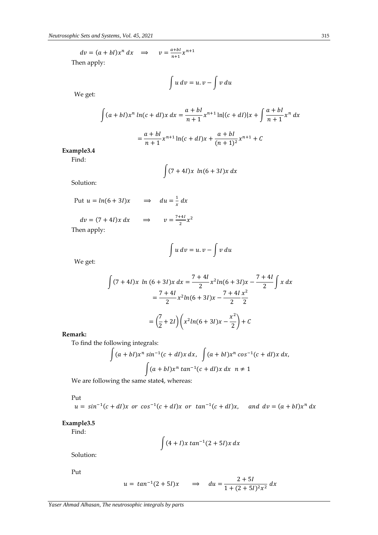$$
dv = (a + bI)x^{n} dx \implies v = \frac{a + bI}{n+1}x^{n+1}
$$
  
Then apply:

$$
\int u\,dv=u.v-\int v\,du
$$

We get:

$$
\int (a + bl)x^n \ln(c + dl)x \, dx = \frac{a + bl}{n + 1} x^{n+1} \ln|(c + dl)|x + \int \frac{a + bl}{n + 1} x^n \, dx
$$

$$
= \frac{a + bl}{n + 1} x^{n+1} \ln(c + dl)x + \frac{a + bl}{(n + 1)^2} x^{n+1} + C
$$

**Example3.4**

Find:

$$
\int (7+4I)x \ln(6+3I)x \, dx
$$

Solution:

Put 
$$
u = ln(6 + 3l)x
$$
  $\implies du = \frac{1}{x} dx$   
\n $dv = (7 + 4l)x dx$   $\implies v = \frac{7 + 4l}{2}x^2$   
\nThen apply:

appıy

$$
\int u\,dv=u.v-\int v\,du
$$

We get:

$$
\int (7+4I)x \ln (6+3I)x \, dx = \frac{7+4I}{2} x^2 \ln(6+3I)x - \frac{7+4I}{2} \int x \, dx
$$

$$
= \frac{7+4I}{2} x^2 \ln(6+3I)x - \frac{7+4I}{2} \frac{x^2}{2}
$$

$$
= \left(\frac{7}{2}+2I\right) \left(x^2 \ln(6+3I)x - \frac{x^2}{2}\right) + C
$$

**Remark:**

To find the following integrals:

$$
\int (a+bl)x^n \sin^{-1}(c+dl)x dx, \quad \int (a+bl)x^n \cos^{-1}(c+dl)x dx,
$$

$$
\int (a+bl)x^n \tan^{-1}(c+dl)x dx \quad n \neq 1
$$

We are following the same state4, whereas:

Put

$$
u = \sin^{-1}(c + dI)x
$$
 or  $\cos^{-1}(c + dI)x$  or  $\tan^{-1}(c + dI)x$ , and  $dv = (a + bI)x^{n} dx$ 

# **Example3.5**

Find:

$$
\int (4 + I)x \tan^{-1}(2 + 5I)x \, dx
$$

Solution:

Put

$$
u = \tan^{-1}(2+5I)x \qquad \Rightarrow \qquad du = \frac{2+5I}{1+(2+5I)^2x^2} \, dx
$$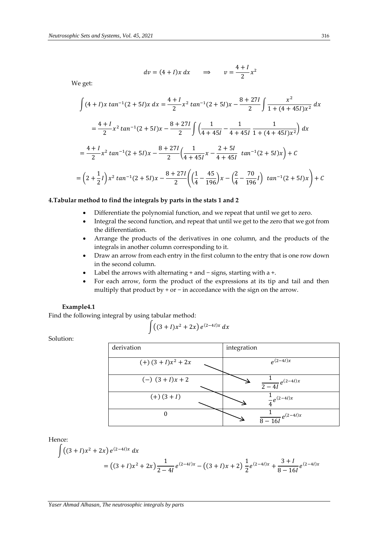$$
dv = (4 + I)x dx \qquad \Rightarrow \qquad v = \frac{4 + I}{2}x^2
$$

We get:

$$
\int (4 + I)x \tan^{-1}(2 + 5I)x \, dx = \frac{4 + I}{2} x^2 \tan^{-1}(2 + 5I)x - \frac{8 + 27I}{2} \int \frac{x^2}{1 + (4 + 45I)x^2} \, dx
$$
  

$$
= \frac{4 + I}{2} x^2 \tan^{-1}(2 + 5I)x - \frac{8 + 27I}{2} \int \left(\frac{1}{4 + 45I} - \frac{1}{4 + 45I} \frac{1}{1 + (4 + 45I)x^2}\right) \, dx
$$
  

$$
= \frac{4 + I}{2} x^2 \tan^{-1}(2 + 5I)x - \frac{8 + 27I}{2} \left(\frac{1}{4 + 45I} x - \frac{2 + 5I}{4 + 45I} \tan^{-1}(2 + 5I)x\right) + C
$$
  

$$
= \left(2 + \frac{1}{2}I\right) x^2 \tan^{-1}(2 + 5I)x - \frac{8 + 27I}{2} \left(\left(\frac{1}{4} - \frac{45}{196}\right) x - \left(\frac{2}{4} - \frac{70}{196}I\right) \tan^{-1}(2 + 5I)x\right) + C
$$

#### **4.Tabular method to find the integrals by parts in the stats 1 and 2**

- Differentiate the polynomial function, and we repeat that until we get to zero.
- Integral the second function, and repeat that until we get to the zero that we got from the differentiation.
- Arrange the products of the derivatives in one column, and the products of the integrals in another column corresponding to it.
- Draw an arrow from each entry in the first column to the entry that is one row down in the second column.
- Label the arrows with alternating + and − signs, starting with a +.
- For each arrow, form the product of the expressions at its tip and tail and then multiply that product by + or − in accordance with the sign on the arrow.

#### **Example4.1**

Find the following integral by using tabular method:

$$
\int ((3 + I)x^2 + 2x) e^{(2-4I)x} dx
$$

Solution:

| derivation              | integration                  |
|-------------------------|------------------------------|
| $(+) (3 + I)x^{2} + 2x$ | $e^{(2-4I)\overline{x}}$     |
| $(-)$ $(3 + I)x + 2$    | $\frac{1}{2-4I}e^{(2-4I)x}$  |
| $(+) (3 + I)$           | $\frac{1}{4}e^{(2-4l)x}$     |
| $\boldsymbol{0}$        | $\frac{1}{8-16l}e^{(2-4l)x}$ |

Hence:

$$
\int ((3 + I)x^{2} + 2x) e^{(2-4I)x} dx
$$
  
=  $((3 + I)x^{2} + 2x) \frac{1}{2-4I} e^{(2-4I)x} - ((3 + I)x + 2) \frac{1}{2} e^{(2-4I)x} + \frac{3+I}{8-16I} e^{(2-4I)x}$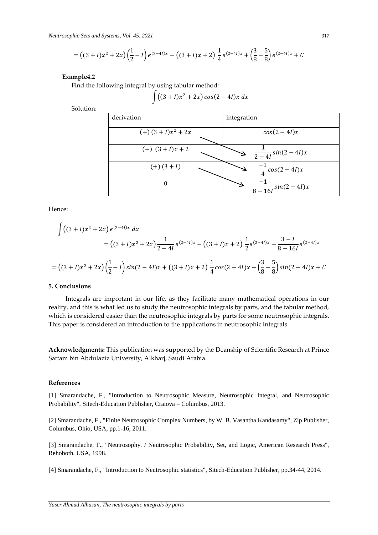$$
= ((3 + I)x2 + 2x) (\frac{1}{2} - I) e^{(2-4I)x} - ((3 + I)x + 2) \frac{1}{4} e^{(2-4I)x} + (\frac{3}{8} - \frac{5}{8}) e^{(2-4I)x} + C
$$

#### **Example4.2**

Find the following integral by using tabular method:

$$
\int ((3+I)x^2+2x)\cos(2-4I)x\,dx
$$

Solution:

| derivation              | integration                             |
|-------------------------|-----------------------------------------|
| $(+)$ $(3 + I)x^2 + 2x$ | $cos(2-4I)x$                            |
| $(-)$ $(3 + I)x + 2$    | $\frac{1}{2-4l}$ sin $(2-4l)x$          |
| $(+) (3 + I)$           | $\frac{-1}{4}$ cos(2 – 4 <i>I</i> )x    |
| 0                       | $\frac{-1}{8-16l}\overline{sin(2-4l)}x$ |

Hence:

$$
\int ((3 + I)x^{2} + 2x) e^{(2-4I)x} dx
$$
  
=  $((3 + I)x^{2} + 2x) \frac{1}{2-4I} e^{(2-4I)x} - ((3 + I)x + 2) \frac{1}{2} e^{(2-4I)x} - \frac{3-I}{8-16I} e^{(2-4I)x}$ 

$$
= ((3 + I)x2 + 2x)(\frac{1}{2} - I)sin(2 - 4I)x + ((3 + I)x + 2)\frac{1}{4}cos(2 - 4I)x - (\frac{3}{8} - \frac{5}{8})sin(2 - 4I)x + C
$$

# **5. Conclusions**

 Integrals are important in our life, as they facilitate many mathematical operations in our reality, and this is what led us to study the neutrosophic integrals by parts, and the tabular method, which is considered easier than the neutrosophic integrals by parts for some neutrosophic integrals. This paper is considered an introduction to the applications in neutrosophic integrals.

**Acknowledgments:** This publication was supported by the Deanship of Scientific Research at Prince Sattam bin Abdulaziz University, Alkharj, Saudi Arabia.

#### **References**

[1] Smarandache, F., "Introduction to Neutrosophic Measure, Neutrosophic Integral, and Neutrosophic Probability", Sitech-Education Publisher, Craiova – Columbus, 2013.

[2] Smarandache, F., "Finite Neutrosophic Complex Numbers, by W. B. Vasantha Kandasamy", Zip Publisher, Columbus, Ohio, USA, pp.1-16, 2011.

[3] Smarandache, F., "Neutrosophy. / Neutrosophic Probability, Set, and Logic, American Research Press", Rehoboth, USA, 1998.

[4] Smarandache, F., "Introduction to Neutrosophic statistics", Sitech-Education Publisher, pp.34-44, 2014.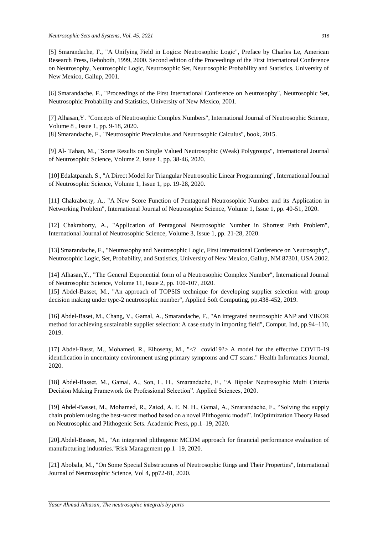[5] Smarandache, F., "A Unifying Field in Logics: Neutrosophic Logic", Preface by Charles Le, American Research Press, Rehoboth, 1999, 2000. Second edition of the Proceedings of the First International Conference on Neutrosophy, Neutrosophic Logic, Neutrosophic Set, Neutrosophic Probability and Statistics, University of New Mexico, Gallup, 2001.

[6] Smarandache, F., "Proceedings of the First International Conference on Neutrosophy", Neutrosophic Set, Neutrosophic Probability and Statistics, University of New Mexico, 2001.

[7] Alhasan,Y. "Concepts of Neutrosophic Complex Numbers", International Journal of Neutrosophic Science, Volume 8 , Issue 1, pp. 9-18, 2020.

[8] Smarandache, F., "Neutrosophic Precalculus and Neutrosophic Calculus", book, 2015.

[9] Al- Tahan, M., "Some Results on Single Valued Neutrosophic (Weak) Polygroups", International Journal of Neutrosophic Science, Volume 2, Issue 1, pp. 38-46, 2020.

[10] Edalatpanah. S., "A Direct Model for Triangular Neutrosophic Linear Programming", International Journal of Neutrosophic Science, Volume 1, Issue 1, pp. 19-28, 2020.

[11] Chakraborty, A., "A New Score Function of Pentagonal Neutrosophic Number and its Application in Networking Problem", International Journal of Neutrosophic Science, Volume 1, Issue 1, pp. 40-51, 2020.

[12] Chakraborty, A., "Application of Pentagonal Neutrosophic Number in Shortest Path Problem", International Journal of Neutrosophic Science, Volume 3, Issue 1, pp. 21-28, 2020.

[13] Smarandache, F., "Neutrosophy and Neutrosophic Logic, First International Conference on Neutrosophy", Neutrosophic Logic, Set, Probability, and Statistics, University of New Mexico, Gallup, NM 87301, USA 2002.

[14] Alhasan,Y., "The General Exponential form of a Neutrosophic Complex Number", International Journal of Neutrosophic Science, Volume 11, Issue 2, pp. 100-107, 2020.

[15] Abdel-Basset, M., "An approach of TOPSIS technique for developing supplier selection with group decision making under type-2 neutrosophic number", Applied Soft Computing, pp.438-452, 2019.

[16] Abdel-Baset, M., Chang, V., Gamal, A., Smarandache, F., "An integrated neutrosophic ANP and VIKOR method for achieving sustainable supplier selection: A case study in importing field", Comput. Ind, pp.94–110, 2019.

[17] Abdel-Basst, M., Mohamed, R., Elhoseny, M., "<? covid19?> A model for the effective COVID-19 identification in uncertainty environment using primary symptoms and CT scans." Health Informatics Journal, 2020.

[18] Abdel-Basset, M., Gamal, A., Son, L. H., Smarandache, F., "A Bipolar Neutrosophic Multi Criteria Decision Making Framework for Professional Selection". Applied Sciences, 2020.

[19] Abdel-Basset, M., Mohamed, R., Zaied, A. E. N. H., Gamal, A., Smarandache, F., "Solving the supply chain problem using the best-worst method based on a novel Plithogenic model". InOptimization Theory Based on Neutrosophic and Plithogenic Sets. Academic Press, pp.1–19, 2020.

[20].Abdel-Basset, M., "An integrated plithogenic MCDM approach for financial performance evaluation of manufacturing industries."Risk Management pp.1–19, 2020.

[21] Abobala, M., "On Some Special Substructures of Neutrosophic Rings and Their Properties", International Journal of Neutrosophic Science, Vol 4, pp72-81, 2020.